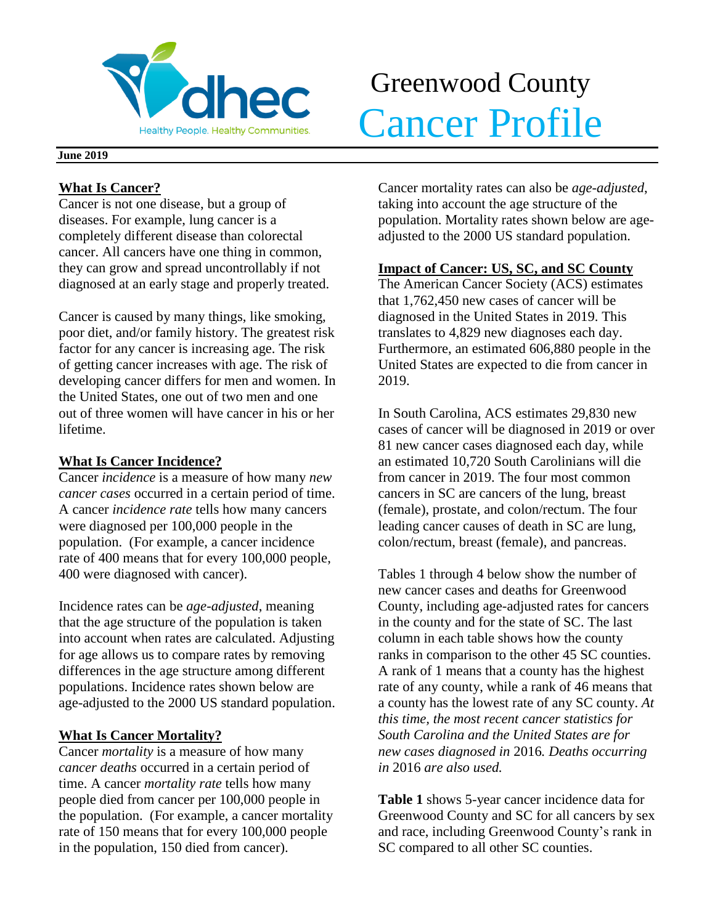

# Greenwood County Realthy People. Healthy Communities. Cancer Profile

### **June 2019**

## **What Is Cancer?**

Cancer is not one disease, but a group of diseases. For example, lung cancer is a completely different disease than colorectal cancer. All cancers have one thing in common, they can grow and spread uncontrollably if not diagnosed at an early stage and properly treated.

Cancer is caused by many things, like smoking, poor diet, and/or family history. The greatest risk factor for any cancer is increasing age. The risk of getting cancer increases with age. The risk of developing cancer differs for men and women. In the United States, one out of two men and one out of three women will have cancer in his or her lifetime.

## **What Is Cancer Incidence?**

Cancer *incidence* is a measure of how many *new cancer cases* occurred in a certain period of time. A cancer *incidence rate* tells how many cancers were diagnosed per 100,000 people in the population. (For example, a cancer incidence rate of 400 means that for every 100,000 people, 400 were diagnosed with cancer).

Incidence rates can be *age-adjusted*, meaning that the age structure of the population is taken into account when rates are calculated. Adjusting for age allows us to compare rates by removing differences in the age structure among different populations. Incidence rates shown below are age-adjusted to the 2000 US standard population.

# **What Is Cancer Mortality?**

Cancer *mortality* is a measure of how many *cancer deaths* occurred in a certain period of time. A cancer *mortality rate* tells how many people died from cancer per 100,000 people in the population. (For example, a cancer mortality rate of 150 means that for every 100,000 people in the population, 150 died from cancer).

Cancer mortality rates can also be *age-adjusted*, taking into account the age structure of the population. Mortality rates shown below are ageadjusted to the 2000 US standard population.

# **Impact of Cancer: US, SC, and SC County**

The American Cancer Society (ACS) estimates that 1,762,450 new cases of cancer will be diagnosed in the United States in 2019. This translates to 4,829 new diagnoses each day. Furthermore, an estimated 606,880 people in the United States are expected to die from cancer in 2019.

In South Carolina, ACS estimates 29,830 new cases of cancer will be diagnosed in 2019 or over 81 new cancer cases diagnosed each day, while an estimated 10,720 South Carolinians will die from cancer in 2019. The four most common cancers in SC are cancers of the lung, breast (female), prostate, and colon/rectum. The four leading cancer causes of death in SC are lung, colon/rectum, breast (female), and pancreas.

Tables 1 through 4 below show the number of new cancer cases and deaths for Greenwood County, including age-adjusted rates for cancers in the county and for the state of SC. The last column in each table shows how the county ranks in comparison to the other 45 SC counties. A rank of 1 means that a county has the highest rate of any county, while a rank of 46 means that a county has the lowest rate of any SC county. *At this time, the most recent cancer statistics for South Carolina and the United States are for new cases diagnosed in* 2016*. Deaths occurring in* 2016 *are also used.*

**Table 1** shows 5-year cancer incidence data for Greenwood County and SC for all cancers by sex and race, including Greenwood County's rank in SC compared to all other SC counties.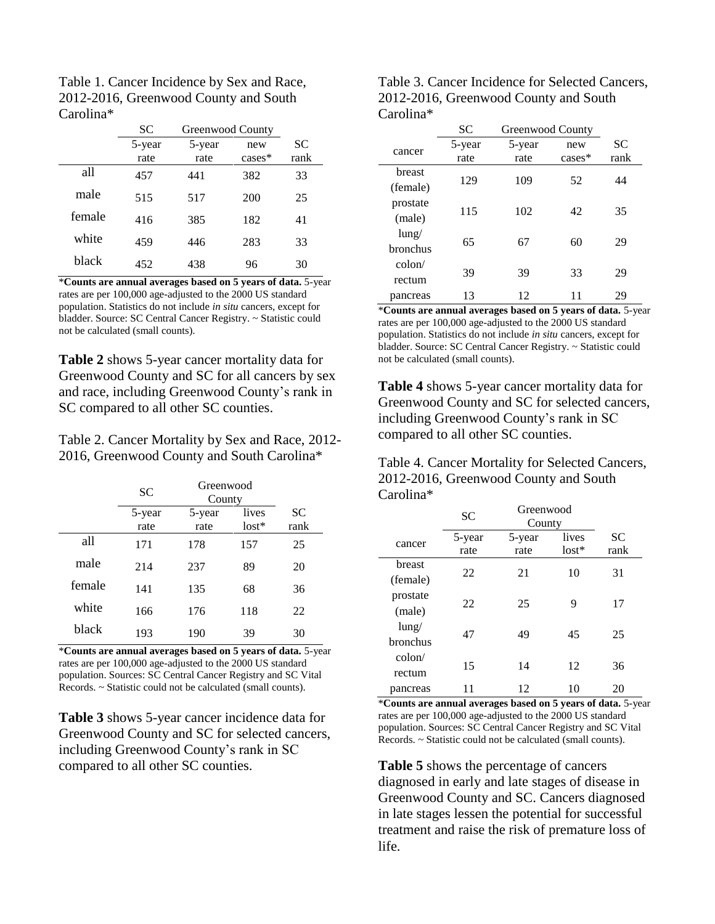| Table 1. Cancer Incidence by Sex and Race, |
|--------------------------------------------|
| 2012-2016, Greenwood County and South      |
| Carolina*                                  |

|        | SС     | Greenwood County |           |           |
|--------|--------|------------------|-----------|-----------|
|        | 5-year | 5-year           | new       | <b>SC</b> |
|        | rate   | rate             | $cases^*$ | rank      |
| all    | 457    | 441              | 382       | 33        |
| male   | 515    | 517              | 200       | 25        |
| female | 416    | 385              | 182       | 41        |
| white  | 459    | 446              | 283       | 33        |
| black  | 452    | 438              | 96        | 30        |

\***Counts are annual averages based on 5 years of data.** 5-year rates are per 100,000 age-adjusted to the 2000 US standard population. Statistics do not include *in situ* cancers, except for bladder. Source: SC Central Cancer Registry. ~ Statistic could not be calculated (small counts).

**Table 2** shows 5-year cancer mortality data for Greenwood County and SC for all cancers by sex and race, including Greenwood County's rank in SC compared to all other SC counties.

Table 2. Cancer Mortality by Sex and Race, 2012- 2016, Greenwood County and South Carolina\*

|        | SC             | Greenwood<br>County |                  |                   |
|--------|----------------|---------------------|------------------|-------------------|
|        | 5-year<br>rate | 5-year<br>rate      | lives<br>$lost*$ | <b>SC</b><br>rank |
| all    | 171            | 178                 | 157              | 25                |
| male   | 214            | 237                 | 89               | 20                |
| female | 141            | 135                 | 68               | 36                |
| white  | 166            | 176                 | 118              | 22                |
| black  | 193            | 190                 | 39               | 30                |

\***Counts are annual averages based on 5 years of data.** 5-year rates are per 100,000 age-adjusted to the 2000 US standard population. Sources: SC Central Cancer Registry and SC Vital Records. ~ Statistic could not be calculated (small counts).

**Table 3** shows 5-year cancer incidence data for Greenwood County and SC for selected cancers, including Greenwood County's rank in SC compared to all other SC counties.

| Table 3. Cancer Incidence for Selected Cancers, |
|-------------------------------------------------|
| 2012-2016, Greenwood County and South           |
| Carolina*                                       |

|          | <b>SC</b> | Greenwood County |           |      |
|----------|-----------|------------------|-----------|------|
| cancer   | 5-year    | 5-year           | new       | SС   |
|          | rate      | rate             | $cases^*$ | rank |
| breast   |           |                  |           |      |
| (female) | 129       | 109              | 52        | 44   |
| prostate |           | 102              |           |      |
| (male)   | 115       |                  | 42        | 35   |
| $l$ ung/ |           |                  |           |      |
| bronchus | 65        | 67               | 60        | 29   |
| colon/   |           |                  |           |      |
| rectum   | 39        | 39               | 33        | 29   |
| pancreas | 13        | 12               | 11        | 29   |

\***Counts are annual averages based on 5 years of data.** 5-year rates are per 100,000 age-adjusted to the 2000 US standard population. Statistics do not include *in situ* cancers, except for bladder. Source: SC Central Cancer Registry. ~ Statistic could not be calculated (small counts).

**Table 4** shows 5-year cancer mortality data for Greenwood County and SC for selected cancers, including Greenwood County's rank in SC compared to all other SC counties.

Table 4. Cancer Mortality for Selected Cancers, 2012-2016, Greenwood County and South Carolina\*

|                 | Greenwood<br>SC<br>County |        |         |           |
|-----------------|---------------------------|--------|---------|-----------|
| cancer          | 5-year                    | 5-year | lives   | <b>SC</b> |
|                 | rate                      | rate   | $lost*$ | rank      |
| <b>breast</b>   | 22                        | 21     | 10      | 31        |
| (female)        |                           |        |         |           |
| prostate        | 22                        | 25     | 9       | 17        |
| (male)          |                           |        |         |           |
| $l$ ung/        | 47                        | 49     | 45      | 25        |
| <b>bronchus</b> |                           |        |         |           |
| $\text{colon}/$ | 15                        | 14     | 12      | 36        |
| rectum          |                           |        |         |           |
| pancreas        | 11                        | 12     | 10      | 20        |

\***Counts are annual averages based on 5 years of data.** 5-year rates are per 100,000 age-adjusted to the 2000 US standard population. Sources: SC Central Cancer Registry and SC Vital Records. ~ Statistic could not be calculated (small counts).

**Table 5** shows the percentage of cancers diagnosed in early and late stages of disease in Greenwood County and SC. Cancers diagnosed in late stages lessen the potential for successful treatment and raise the risk of premature loss of life.